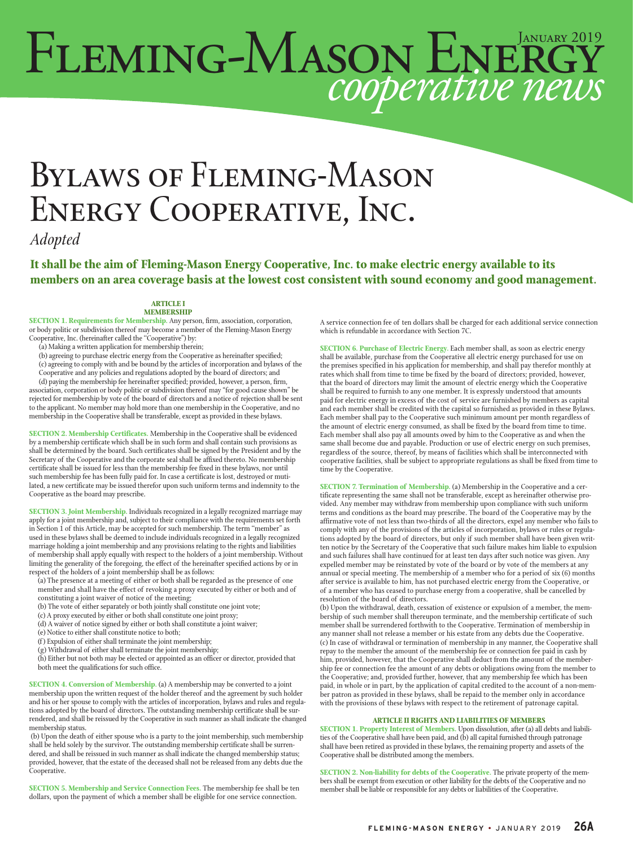# FLEMING-MASON ENERGY

# Bylaws of Fleming-Mason Energy Cooperative, Inc.

*Adopted*

**It shall be the aim of Fleming-Mason Energy Cooperative, Inc. to make electric energy available to its members on an area coverage basis at the lowest cost consistent with sound economy and good management.**

# **ARTICLE I**

**MEMBERSHIP**

**SECTION 1. Requirements for Membership.** Any person, firm, association, corporation, or body politic or subdivision thereof may become a member of the Fleming-Mason Energy Cooperative, Inc. (hereinafter called the ''Cooperative'') by:

(a) Making a written application for membership therein;

(b) agreeing to purchase electric energy from the Cooperative as hereinafter specified;

(c) agreeing to comply with and be bound by the articles of incorporation and bylaws of the Cooperative and any policies and regulations adopted by the board of directors; and (d) paying the membership fee hereinafter specified; provided, however, a person, firm, association, corporation or body politic or subdivision thereof may "for good cause shown" be rejected for membership by vote of the board of directors and a notice of rejection shall be sent to the applicant. No member may hold more than one membership in the Cooperative, and no membership in the Cooperative shall be transferable, except as provided in these bylaws.

**SECTION 2. Membership Certificates.** Membership in the Cooperative shall be evidenced by a membership certificate which shall be in such form and shall contain such provisions as shall be determined by the board. Such certificates shall be signed by the President and by the Secretary of the Cooperative and the corporate seal shall be affixed thereto. No membership certificate shall be issued for less than the membership fee fixed in these bylaws, nor until such membership fee has been fully paid for. In case a certificate is lost, destroyed or muti-lated, a new certificate may be issued therefor upon such uniform terms and indemnity to the Cooperative as the board may prescribe.

**SECTION 3. Joint Membership.** Individuals recognized in a legally recognized marriage may apply for a joint membership and, subject to their compliance with the requirements set forth in Section 1 of this Article, may be accepted for such membership. The term ''member'' as in section 1 of this Article, may be deeped to include individuals recognized in a legally recognized used in these bylaws shall be deemed to include individuals recognized in a legally recognized marriage holding a joint membership and any provisions relating to the rights and liabilities of membership shall apply equally with respect to the holders of a joint membership. Without limiting the generality of the foregoing, the effect of the hereinafter specified actions by or in respect of the holders of a joint membership shall be as follows:

- (a) The presence at a meeting of either or both shall be regarded as the presence of one member and shall have the effect of revoking a proxy executed by either or both and of constituting a joint waiver of notice of the meeting;
- (b) The vote of either separately or both jointly shall constitute one joint vote;
- (c) A proxy executed by either or both shall constitute one joint proxy;
- (d) A waiver of notice signed by either or both shall constitute a joint waiver;
- (e) Notice to either shall constitute notice to both;
- (f) Expulsion of either shall terminate the joint membership;
- (g) Withdrawal of either shall terminate the joint membership;

(h) Either but not both may be elected or appointed as an officer or director, provided that both meet the qualifications for such office.

**SECTION 4. Conversion of Membership.** (a) A membership may be converted to a joint membership upon the written request of the holder thereof and the agreement by such holder and his or her spouse to comply with the articles of incorporation, bylaws and rules and regulations adopted by the board of directors. The outstanding membership certificate shall be surrendered, and shall be reissued by the Cooperative in such manner as shall indicate the changed membership status.

 (b) Upon the death of either spouse who is a party to the joint membership, such membership shall be held solely by the survivor. The outstanding membership certificate shall be surrendered, and shall be reissued in such manner as shall indicate the changed membership status; provided, however, that the estate of the deceased shall not be released from any debts due the Cooperative.

**SECTION 5. Membership and Service Connection Fees.** The membership fee shall be ten dollars, upon the payment of which a member shall be eligible for one service connection.

A service connection fee of ten dollars shall be charged for each additional service connection which is refundable in accordance with Section 7C.

**SECTION 6. Purchase of Electric Energy.** Each member shall, as soon as electric energy shall be available, purchase from the Cooperative all electric energy purchased for use on the premises specified in his application for membership, and shall pay therefor monthly at rates which shall from time to time be fixed by the board of directors; provided, however, that the board of directors may limit the amount of electric energy which the Cooperative shall be required to furnish to any one member. It is expressly understood that amounts paid for electric energy in excess of the cost of service are furnished by members as capital and each member shall be credited with the capital so furnished as provided in these Bylaws. Each member shall pay to the Cooperative such minimum amount per month regardless of the amount of electric energy consumed, as shall be fixed by the board from time to time. Each member shall also pay all amounts owed by him to the Cooperative as and when the same shall become due and payable. Production or use of electric energy on such premises, regardless of the source, thereof, by means of facilities which shall be interconnected with cooperative facilities, shall be subject to appropriate regulations as shall be fixed from time to time by the Cooperative.

**SECTION 7. Termination of Membership.** (a) Membership in the Cooperative and a certificate representing the same shall not be transferable, except as hereinafter otherwise provided. Any member may withdraw from membership upon compliance with such uniform terms and conditions as the board may prescribe. The board of the Cooperative may by the affirmative vote of not less than two-thirds of all the directors, expel any member who fails to comply with any of the provisions of the articles of incorporation, bylaws or rules or regulations adopted by the board of directors, but only if such member shall have been given written notice by the Secretary of the Cooperative that such failure makes him liable to expulsion and such failures shall have continued for at least ten days after such notice was given. Any expelled member may be reinstated by vote of the board or by vote of the members at any annual or special meeting. The membership of a member who for a period of six (6) months after service is available to him, has not purchased electric energy from the Cooperative, or of a member who has ceased to purchase energy from a cooperative, shall be cancelled by resolution of the board of directors.

(b) Upon the withdrawal, death, cessation of existence or expulsion of a member, the membership of such member shall thereupon terminate, and the membership certificate of such member shall be surrendered forthwith to the Cooperative. Termination of membership in any manner shall not release a member or his estate from any debts due the Cooperative. (c) In case of withdrawal or termination of membership in any manner, the Cooperative shall repay to the member the amount of the membership fee or connection fee paid in cash by him, provided, however, that the Cooperative shall deduct from the amount of the membership fee or connection fee the amount of any debts or obligations owing from the member to the Cooperative; and, provided further, however, that any membership fee which has been paid, in whole or in part, by the application of capital credited to the account of a non-member patron as provided in these bylaws, shall be repaid to the member only in accordance with the provisions of these bylaws with respect to the retirement of patronage capital.

#### **ARTICLE II RIGHTS AND LIABILITIES OF MEMBERS**

**SECTION 1. Property Interest of Members.** Upon dissolution, after (a) all debts and liabili-ties of the Cooperative shall have been paid, and (b) all capital furnished through patronage shall have been retired as provided in these bylaws, the remaining property and assets of the Cooperative shall be distributed among the members.

**SECTION 2. Non-liability for debts of the Cooperative.** The private property of the members shall be exempt from execution or other liability for the debts of the Cooperative and no member shall be liable or responsible for any debts or liabilities of the Cooperative.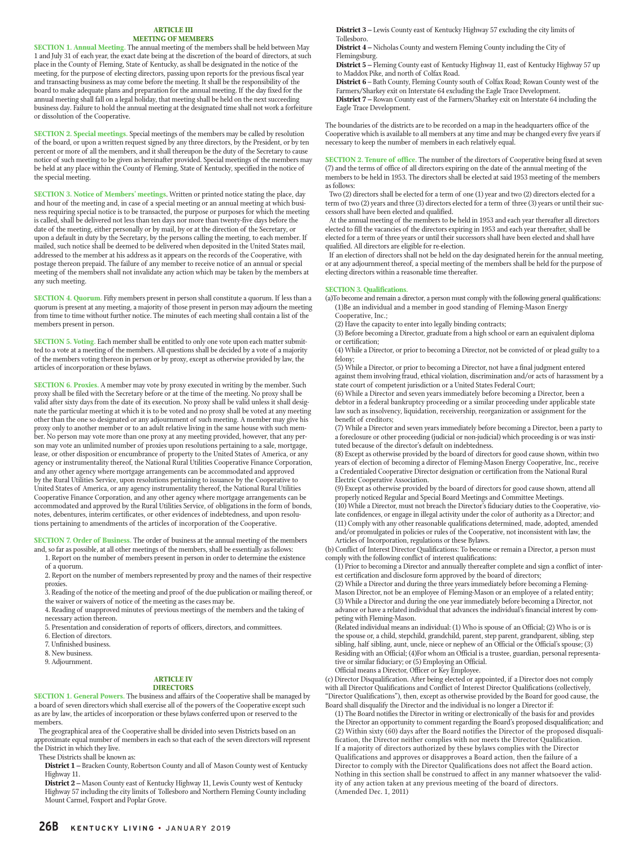#### **ARTICLE III MEETING OF MEMBERS**

**SECTION 1. Annual Meeting.** The annual meeting of the members shall be held between May 1 and July 31 of each year, the exact date being at the discretion of the board of directors, at such place in the County of Fleming, State of Kentucky, as shall be designated in the notice of the meeting, for the purpose of electing directors, passing upon reports for the previous fiscal year and transacting business as may come before the meeting. It shall be the responsibility of the board to make adequate plans and preparation for the annual meeting. If the day fixed for the annual meeting shall fall on a legal holiday, that meeting shall be held on the next succeeding business day. Failure to hold the annual meeting at the designated time shall not work a forfeiture or dissolution of the Cooperative.

**SECTION 2. Special meetings.** Special meetings of the members may be called by resolution of the board, or upon a written request signed by any three directors, by the President, or by ten percent or more of all the members, and it shall thereupon be the duty of the Secretary to cause notice of such meeting to be given as hereinafter provided. Special meetings of the members may be held at any place within the County of Fleming, State of Kentucky, specified in the notice of the special meeting.

**SECTION 3. Notice of Members' meetings**. Written or printed notice stating the place, day and hour of the meeting and, in case of a special meeting or an annual meeting at which business requiring special notice is to be transacted, the purpose or purposes for which the meeting is called, shall be delivered not less than ten days nor more than twenty-five days before the date of the meeting, either personally or by mail, by or at the direction of the Secretary, or upon a default in duty by the Secretary, by the persons calling the meeting, to each member. If mailed, such notice shall be deemed to be delivered when deposited in the United States mail, addressed to the member at his address as it appears on the records of the Cooperative, with postage thereon prepaid. The failure of any member to receive notice of an annual or special meeting of the members shall not invalidate any action which may be taken by the members at any such meeting.

**SECTION 4. Quorum.** Fifty members present in person shall constitute a quorum. If less than a quorum is present at any meeting, a majority of those present in person may adjourn the meeting from time to time without further notice. The minutes of each meeting shall contain a list of the members present in person.

**SECTION 5. Voting.** Each member shall be entitled to only one vote upon each matter submitted to a vote at a meeting of the members. All questions shall be decided by a vote of a majority of the members voting thereon in person or by proxy, except as otherwise provided by law, the articles of incorporation or these bylaws.

**SECTION 6. Proxies.** A member may vote by proxy executed in writing by the member. Such proxy shall be filed with the Secretary before or at the time of the meeting. No proxy shall be valid after sixty days from the date of its execution. No proxy shall be valid unless it shall designate the particular meeting at which it is to be voted and no proxy shall be voted at any meeting other than the one so designated or any adjournment of such meeting. A member may give his proxy only to another member or to an adult relative living in the same house with such member. No person may vote more than one proxy at any meeting provided, however, that any person may vote an unlimited number of proxies upon resolutions pertaining to a sale, mortgage, lease, or other disposition or encumbrance of property to the United States of America, or any agency or instrumentality thereof, the National Rural Utilities Cooperative Finance Corporation, and any other agency where mortgage arrangements can be accommodated and approved by the Rural Utilities Service, upon resolutions pertaining to issuance by the Cooperative to United States of America, or any agency instrumentality thereof, the National Rural Utilities Cooperative Finance Corporation, and any other agency where mortgage arrangements can be accommodated and approved by the Rural Utilities Service, of obligations in the form of bonds, notes, debentures, interim certificates, or other evidences of indebtedness, and upon resolutions pertaining to amendments of the articles of incorporation of the Cooperative.

**SECTION 7. Order of Business.** The order of business at the annual meeting of the members and, so far as possible, at all other meetings of the members, shall be essentially as follows:

1. Report on the number of members present in person in order to determine the existence of a quorum.

2. Report on the number of members represented by proxy and the names of their respective proxies.

3. Reading of the notice of the meeting and proof of the due publication or mailing thereof, or the waiver or waivers of notice of the meeting as the cases may be.

4. Reading of unapproved minutes of previous meetings of the members and the taking of necessary action thereon.

5. Presentation and consideration of reports of officers, directors, and committees.

- 6. Election of directors.
- 7. Unfinished business.

8. New business.

9. Adjournment.

#### **ARTICLE IV DIRECTORS**

**SECTION 1. General Powers.** The business and affairs of the Cooperative shall be managed by a board of seven directors which shall exercise all of the powers of the Cooperative except such as are by law, the articles of incorporation or these bylaws conferred upon or reserved to the members.

 The geographical area of the Cooperative shall be divided into seven Districts based on an approximate equal number of members in each so that each of the seven directors will represent the District in which they live.

These Districts shall be known as:

**District 1 –** Bracken County, Robertson County and all of Mason County west of Kentucky Highway 11.

**District 2 –** Mason County east of Kentucky Highway 11, Lewis County west of Kentucky Highway 57 including the city limits of Tollesboro and Northern Fleming County including Mount Carmel, Foxport and Poplar Grove.

**District 3 –** Lewis County east of Kentucky Highway 57 excluding the city limits of Tollesboro.

**District 4 –** Nicholas County and western Fleming County including the City of Flemingsburg.

**District 5 –** Fleming County east of Kentucky Highway 11, east of Kentucky Highway 57 up to Maddox Pike, and north of Colfax Road.

**District 6** – Bath County, Fleming County south of Colfax Road; Rowan County west of the Farmers/Sharkey exit on Interstate 64 excluding the Eagle Trace Development.

**District 7 –** Rowan County east of the Farmers/Sharkey exit on Interstate 64 including the Eagle Trace Development.

The boundaries of the districts are to be recorded on a map in the headquarters office of the Cooperative which is available to all members at any time and may be changed every five years if necessary to keep the number of members in each relatively equal.

**SECTION 2. Tenure of office.** The number of the directors of Cooperative being fixed at seven (7) and the terms of office of all directors expiring on the date of the annual meeting of the members to be held in 1953. The directors shall be elected at said 1953 meeting of the members as follows:

Two (2) directors shall be elected for a term of one (1) year and two (2) directors elected for a term of two (2) years and three (3) directors elected for a term of three (3) years or until their successors shall have been elected and qualified.

At the annual meeting of the members to be held in 1953 and each year thereafter all directors elected to fill the vacancies of the directors expiring in 1953 and each year thereafter, shall be elected for a term of three years or until their successors shall have been elected and shall have qualified. All directors are eligible for re-election.

If an election of directors shall not be held on the day designated herein for the annual meeting, or at any adjournment thereof, a special meeting of the members shall be held for the purpose of electing directors within a reasonable time thereafter.

#### **SECTION 3. Qualifications.**

(a)To become and remain a director, a person must comply with the following general qualifications: (1)Be an individual and a member in good standing of Fleming-Mason Energy Cooperative, Inc.;

(2) Have the capacity to enter into legally binding contracts;

(3) Before becoming a Director, graduate from a high school or earn an equivalent diploma or certification;

(4) While a Director, or prior to becoming a Director, not be convicted of or plead guilty to a felony;

(5) While a Director, or prior to becoming a Director, not have a final judgment entered against them involving fraud, ethical violation, discrimination and/or acts of harassment by a state court of competent jurisdiction or a United States Federal Court;

(6) While a Director and seven years immediately before becoming a Director, been a debtor in a federal bankruptcy proceeding or a similar proceeding under applicable state law such as insolvency, liquidation, receivership, reorganization or assignment for the benefit of creditors;

(7) While a Director and seven years immediately before becoming a Director, been a party to a foreclosure or other proceeding (judicial or non-judicial) which proceeding is or was instituted because of the director's default on indebtedness.

(8) Except as otherwise provided by the board of directors for good cause shown, within two years of election of becoming a director of Fleming-Mason Energy Cooperative, Inc., receive a Credentialed Cooperative Director designation or certification from the National Rural Electric Cooperative Association.

(9) Except as otherwise provided by the board of directors for good cause shown, attend all properly noticed Regular and Special Board Meetings and Committee Meetings.

(10) While a Director, must not breach the Director's fiduciary duties to the Cooperative, violate confidences, or engage in illegal activity under the color of authority as a Director; and (11) Comply with any other reasonable qualifications determined, made, adopted, amended and/or promulgated in policies or rules of the Cooperative, not inconsistent with law, the Articles of Incorporation, regulations or these Bylaws.

(b) Conflict of Interest Director Qualifications: To become or remain a Director, a person must comply with the following conflict of interest qualifications:

(1) Prior to becoming a Director and annually thereafter complete and sign a conflict of interest certification and disclosure form approved by the board of directors;

(2) While a Director and during the three years immediately before becoming a Fleming-Mason Director, not be an employee of Fleming-Mason or an employee of a related entity; (3) While a Director and during the one year immediately before becoming a Director, not advance or have a related individual that advances the individual's financial interest by competing with Fleming-Mason.

(Related individual means an individual: (1) Who is spouse of an Official; (2) Who is or is the spouse or, a child, stepchild, grandchild, parent, step parent, grandparent, sibling, step sibling, half sibling, aunt, uncle, niece or nephew of an Official or the Official's spouse; (3) Residing with an Official; (4)For whom an Official is a trustee, guardian, personal representative or similar fiduciary; or (5) Employing an Official.

Official means a Director, Officer or Key Employee.

(c) Director Disqualification. After being elected or appointed, if a Director does not comply with all Director Qualifications and Conflict of Interest Director Qualifications (collectively, "Director Qualifications"), then, except as otherwise provided by the Board for good cause, the Board shall disqualify the Director and the individual is no longer a Director if:

(1) The Board notifies the Director in writing or electronically of the basis for and provides the Director an opportunity to comment regarding the Board's proposed disqualification; and (2) Within sixty (60) days after the Board notifies the Director of the proposed disqualification, the Director neither complies with nor meets the Director Qualification. If a majority of directors authorized by these bylaws complies with the Director Qualifications and approves or disapproves a Board action, then the failure of a Director to comply with the Director Qualifications does not affect the Board action. Nothing in this section shall be construed to affect in any manner whatsoever the validity of any action taken at any previous meeting of the board of directors. (Amended Dec. 1, 2011)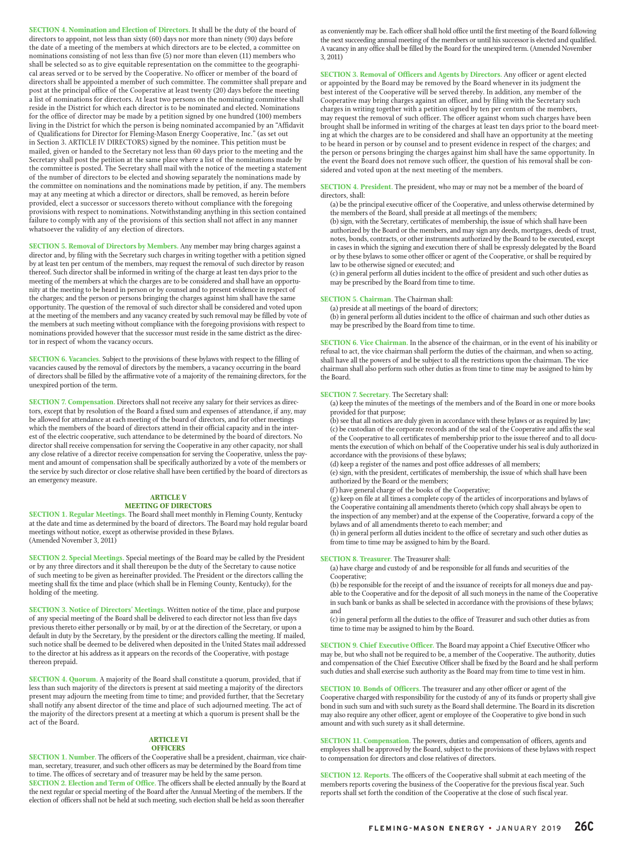**SECTION 4. Nomination and Election of Directors.** It shall be the duty of the board of directors to appoint, not less than sixty (60) days nor more than ninety (90) days before the date of a meeting of the members at which directors are to be elected, a committee on nominations consisting of not less than five (5) nor more than eleven (11) members who shall be selected so as to give equitable representation on the committee to the geographical areas served or to be served by the Cooperative. No officer or member of the board of directors shall be appointed a member of such committee. The committee shall prepare and post at the principal office of the Cooperative at least twenty (20) days before the meeting a list of nominations for directors. At least two persons on the nominating committee shall reside in the District for which each director is to be nominated and elected. Nominations for the office of director may be made by a petition signed by one hundred (100) members living in the District for which the person is being nominated accompanied by an "Affidavit of Qualifications for Director for Fleming-Mason Energy Cooperative, Inc." (as set out in Section 3. ARTICLE IV DIRECTORS) signed by the nominee. This petition must be mailed, given or handed to the Secretary not less than 60 days prior to the meeting and the Secretary shall post the petition at the same place where a list of the nominations made by the committee is posted. The Secretary shall mail with the notice of the meeting a statement of the number of directors to be elected and showing separately the nominations made by the committee on nominations and the nominations made by petition, if any. The members may at any meeting at which a director or directors, shall be removed, as herein before provided, elect a successor or successors thereto without compliance with the foregoing provisions with respect to nominations. Notwithstanding anything in this section contained failure to comply with any of the provisions of this section shall not affect in any manner whatsoever the validity of any election of directors.

**SECTION 5. Removal of Directors by Members.** Any member may bring charges against a director and, by filing with the Secretary such charges in writing together with a petition signed by at least ten per centum of the members, may request the removal of such director by reason thereof. Such director shall be informed in writing of the charge at least ten days prior to the meeting of the members at which the charges are to be considered and shall have an opportunity at the meeting to be heard in person or by counsel and to present evidence in respect of the charges; and the person or persons bringing the charges against him shall have the same opportunity. The question of the removal of such director shall be considered and voted upon at the meeting of the members and any vacancy created by such removal may be filled by vote of the members at such meeting without compliance with the foregoing provisions with respect to nominations provided however that the successor must reside in the same district as the director in respect of whom the vacancy occurs.

**SECTION 6. Vacancies.** Subject to the provisions of these bylaws with respect to the filling of vacancies caused by the removal of directors by the members, a vacancy occurring in the board of directors shall be filled by the affirmative vote of a majority of the remaining directors, for the unexpired portion of the term.

**SECTION 7. Compensation.** Directors shall not receive any salary for their services as directors, except that by resolution of the Board a fixed sum and expenses of attendance, if any, may be allowed for attendance at each meeting of the board of directors, and for other meetings which the members of the board of directors attend in their official capacity and in the interest of the electric cooperative, such attendance to be determined by the board of directors. No director shall receive compensation for serving the Cooperative in any other capacity, nor shall any close relative of a director receive compensation for serving the Cooperative, unless the payment and amount of compensation shall be specifically authorized by a vote of the members or the service by such director or close relative shall have been certified by the board of directors as an emergency measure.

## **ARTICLE V**

#### **MEETING OF DIRECTORS**

**SECTION 1. Regular Meetings.** The Board shall meet monthly in Fleming County, Kentucky at the date and time as determined by the board of directors. The Board may hold regular board meetings without notice, except as otherwise provided in these Bylaws. (Amended November 3, 2011)

**SECTION 2. Special Meetings.** Special meetings of the Board may be called by the President or by any three directors and it shall thereupon be the duty of the Secretary to cause notice of such meeting to be given as hereinafter provided. The President or the directors calling the meeting shall fix the time and place (which shall be in Fleming County, Kentucky), for the holding of the meeting.

**SECTION 3. Notice of Directors' Meetings.** Written notice of the time, place and purpose of any special meeting of the Board shall be delivered to each director not less than five days previous thereto either personally or by mail, by or at the direction of the Secretary, or upon a default in duty by the Secretary, by the president or the directors calling the meeting. If mailed, such notice shall be deemed to be delivered when deposited in the United States mail addressed to the director at his address as it appears on the records of the Cooperative, with postage thereon prepaid.

**SECTION 4. Quorum.** A majority of the Board shall constitute a quorum, provided, that if less than such majority of the directors is present at said meeting a majority of the directors present may adjourn the meeting from time to time; and provided further, that the Secretary shall notify any absent director of the time and place of such adjourned meeting. The act of the majority of the directors present at a meeting at which a quorum is present shall be the act of the Board.

#### **ARTICLE VI**

#### **OFFICERS**

**SECTION 1. Number.** The officers of the Cooperative shall be a president, chairman, vice chairman, secretary, treasurer, and such other officers as may be determined by the Board from time to time. The offices of secretary and of treasurer may be held by the same person. **SECTION 2. Election and Term of Office.** The officers shall be elected annually by the Board at the next regular or special meeting of the Board after the Annual Meeting of the members. If the election of officers shall not be held at such meeting, such election shall be held as soon thereafter

as conveniently may be. Each officer shall hold office until the first meeting of the Board following the next succeeding annual meeting of the members or until his successor is elected and qualified. A vacancy in any office shall be filled by the Board for the unexpired term. (Amended November 3, 2011)

**SECTION 3. Removal of Officers and Agents by Directors.** Any officer or agent elected or appointed by the Board may be removed by the Board whenever in its judgment the best interest of the Cooperative will be served thereby. In addition, any member of the Cooperative may bring charges against an officer, and by filing with the Secretary such charges in writing together with a petition signed by ten per centum of the members, may request the removal of such officer. The officer against whom such charges have been brought shall be informed in writing of the charges at least ten days prior to the board meeting at which the charges are to be considered and shall have an opportunity at the meeting to be heard in person or by counsel and to present evidence in respect of the charges; and the person or persons bringing the charges against him shall have the same opportunity. In the event the Board does not remove such officer, the question of his removal shall be considered and voted upon at the next meeting of the members.

**SECTION 4. President.** The president, who may or may not be a member of the board of directors, shall:

(a) be the principal executive officer of the Cooperative, and unless otherwise determined by the members of the Board, shall preside at all meetings of the members;

(b) sign, with the Secretary, certificates of membership, the issue of which shall have been authorized by the Board or the members, and may sign any deeds, mortgages, deeds of trust, notes, bonds, contracts, or other instruments authorized by the Board to be executed, except in cases in which the signing and execution there of shall be expressly delegated by the Board or by these bylaws to some other officer or agent of the Cooperative, or shall be required by law to be otherwise signed or executed; and

(c) in general perform all duties incident to the office of president and such other duties as may be prescribed by the Board from time to time.

#### **SECTION 5. Chairman.** The Chairman shall:

(a) preside at all meetings of the board of directors;

(b) in general perform all duties incident to the office of chairman and such other duties as may be prescribed by the Board from time to time.

**SECTION 6. Vice Chairman.** In the absence of the chairman, or in the event of his inability or refusal to act, the vice chairman shall perform the duties of the chairman, and when so acting, shall have all the powers of and be subject to all the restrictions upon the chairman. The vice chairman shall also perform such other duties as from time to time may be assigned to him by the Board.

#### **SECTION 7. Secretary.** The Secretary shall:

(a) keep the minutes of the meetings of the members and of the Board in one or more books provided for that purpose;

(b) see that all notices are duly given in accordance with these bylaws or as required by law; (c) be custodian of the corporate records and of the seal of the Cooperative and affix the seal of the Cooperative to all certificates of membership prior to the issue thereof and to all documents the execution of which on behalf of the Cooperative under his seal is duly authorized in accordance with the provisions of these bylaws;

(d) keep a register of the names and post office addresses of all members;

(e) sign, with the president, certificates of membership, the issue of which shall have been authorized by the Board or the members;

(f) have general charge of the books of the Cooperative;

(g) keep on file at all times a complete copy of the articles of incorporations and bylaws of the Cooperative containing all amendments thereto (which copy shall always be open to the inspection of any member) and at the expense of the Cooperative, forward a copy of the bylaws and of all amendments thereto to each member; and

(h) in general perform all duties incident to the office of secretary and such other duties as from time to time may be assigned to him by the Board.

#### **SECTION 8. Treasurer.** The Treasurer shall:

(a) have charge and custody of and be responsible for all funds and securities of the Cooperative;

(b) be responsible for the receipt of and the issuance of receipts for all moneys due and payable to the Cooperative and for the deposit of all such moneys in the name of the Cooperative in such bank or banks as shall be selected in accordance with the provisions of these bylaws; and

(c) in general perform all the duties to the office of Treasurer and such other duties as from time to time may be assigned to him by the Board.

**SECTION 9. Chief Executive Officer.** The Board may appoint a Chief Executive Officer who may be, but who shall not be required to be, a member of the Cooperative. The authority, duties and compensation of the Chief Executive Officer shall be fixed by the Board and he shall perform such duties and shall exercise such authority as the Board may from time to time vest in him.

**SECTION 10. Bonds of Officers.** The treasurer and any other officer or agent of the Cooperative charged with responsibility for the custody of any of its funds or property shall give bond in such sum and with such surety as the Board shall determine. The Board in its discretion may also require any other officer, agent or employee of the Cooperative to give bond in such amount and with such surety as it shall determine.

**SECTION 11. Compensation.** The powers, duties and compensation of officers, agents and employees shall be approved by the Board, subject to the provisions of these bylaws with respect to compensation for directors and close relatives of directors.

**SECTION 12. Reports.** The officers of the Cooperative shall submit at each meeting of the members reports covering the business of the Cooperative for the previous fiscal year. Such reports shall set forth the condition of the Cooperative at the close of such fiscal year.